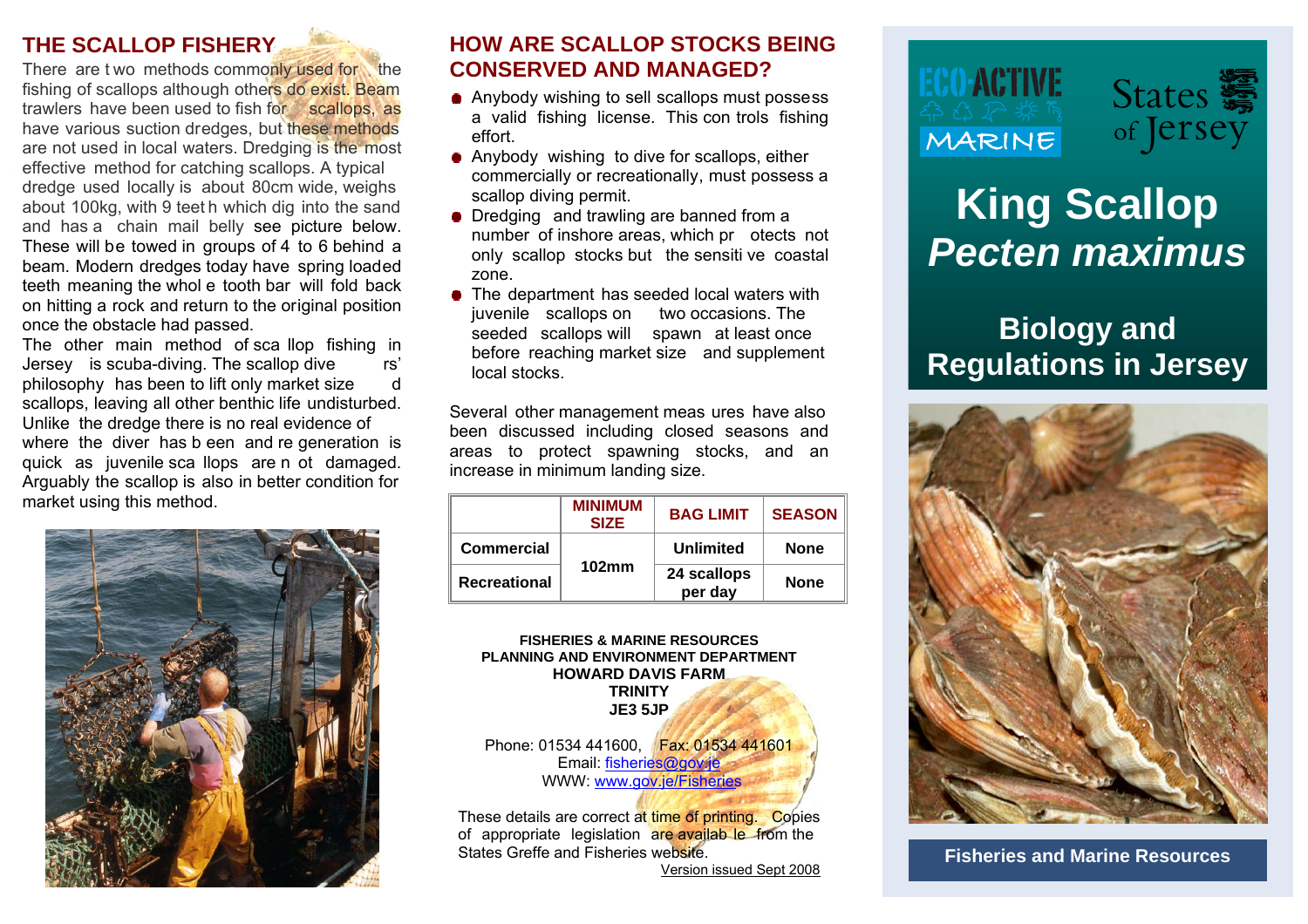### **THE SCALLOP FISHERY**

fishing of scallops although others do exist. Beam trawlers have been used to fish for scallops, as have various suction dredges, but these methods are not used in local waters. Dredging is the most effective method for catching scallops. A typical dredge used locally is about 80cm wide, weighs about 100kg, with 9 teet h which dig into the sand and has a chain mail belly see picture below. These will be towed in groups of 4 to 6 behind a beam. Modern dredges today have spring loaded teeth meaning the whol e tooth bar will fold back on hitting a rock and return to the original position once the obstacle had passed.<br>The other main method of scallop fishing in

The other main method of sca llop fishing in the before reaching market size and supplement<br>Jersey is scuba-diving. The scallop dive rs' local stocks.<br>philosophy has been to lift only market size d scallops, leaving all other benthic life undisturbed. Unlike the dredge there is no real evidence of where the diver has b een and re generation is quick as juvenile sca llops are n ot damaged. Arguably the scallop is also in better condition for market using this method.



### **HOW ARE SCALLOP STOCKS BEING** There are t wo methods commonly used for the **CONSERVED AND MANAGED?**

- Anybody wishing to sell scallops must possess a valid fishing license. This con trols fishing effort.
- Anybody wishing to dive for scallops, either commercially or recreationally, must possess a scallop diving permit.
- Dredging and trawling are banned from a number of inshore areas, which pr otects not only scallop stocks but the sensiti ve coastal zone.
- The department has seeded local waters with juvenile scallops on two occasions. The seeded scallops will spawn at least once before reaching market size and supplement local stocks.

Several other management meas ures have also been discussed including closed seasons and areas to protect spawning stocks, and an increase in minimum landing size.

|                     | <b>MINIMUM</b><br><b>SIZE</b> | <b>BAG LIMIT</b>       | <b>SEASON</b> |
|---------------------|-------------------------------|------------------------|---------------|
| <b>Commercial</b>   | 102mm                         | Unlimited              | <b>None</b>   |
| <b>Recreational</b> |                               | 24 scallops<br>per day | <b>None</b>   |

### **FISHERIES & MARINE RESOURCES PLANNING AND ENVIRONMENT DEPARTMENT HOWARD DAVIS FARM TRINITY JE3 5JP**

Phone: 01534 441600, Fax: 01534 441601 Email: [fisheries@gov.je](mailto:fisheries@gov.je) WWW: [www.gov.je/Fisheries](http://www.gov.je/Fisheries)

These details are correct at time of printing. Copies of appropriate legislation are availab le from the States Greffe and Fisheries website.

Version issued Sept 2008





## **King Scallop**  *Pecten maximus*

# **Biology and**



**Fisheries and Marine Resources**